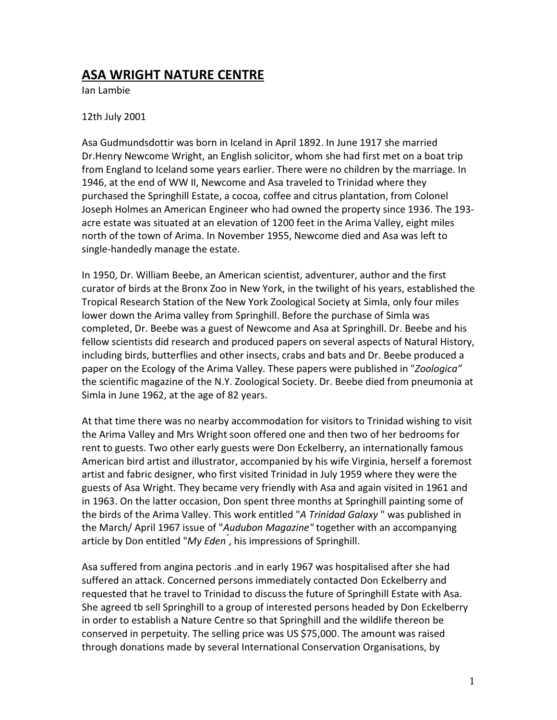## ASA WRIGHT NATURE CENTRE

Ian Lambie

## 12th July 2001

Asa Gudmundsdottir was born in Iceland in April 1892. In June 1917 she married Dr.Henry Newcome Wright, an English solicitor, whom she had first met on a boat trip from England to Iceland some years earlier. There were no children by the marriage. In 1946, at the end of WW II, Newcome and Asa traveled to Trinidad where they purchased the Springhill Estate, a cocoa, coffee and citrus plantation, from Colonel Joseph Holmes an American Engineer who had owned the property since 1936. The 193 acre estate was situated at an elevation of 1200 feet in the Arima Valley, eight miles north of the town of Arima. In November 1955, Newcome died and Asa was left to single-handedly manage the estate.

In 1950, Dr. William Beebe, an American scientist, adventurer, author and the first curator of birds at the Bronx Zoo in New York, in the twilight of his years, established the Tropical Research Station of the New York Zoological Society at Simla, only four miles lower down the Arima valley from Springhill. Before the purchase of Simla was completed, Dr. Beebe was a guest of Newcome and Asa at Springhill. Dr. Beebe and his fellow scientists did research and produced papers on several aspects of Natural History, including birds, butterflies and other insects, crabs and bats and Dr. Beebe produced a paper on the Ecology of the Arima Valley. These papers were published in "*Zoologica*" the scientific magazine of the N.Y. Zoological Society. Dr. Beebe died from pneumonia at Simla in June 1962, at the age of 82 years.

At that time there was no nearby accommodation for visitors to Trinidad wishing to visit the Arima Valley and Mrs Wright soon offered one and then two of her bedrooms for rent to guests. Two other early guests were Don Eckelberry, an internationally famous American bird artist and illustrator, accompanied by his wife Virginia, herself a foremost artist and fabric designer, who first visited Trinidad in July 1959 where they were the guests of Asa Wright. They became very friendly with Asa and again visited in 1961 and in 1963. On the latter occasion, Don spent three months at Springhill painting some of the birds of the Arima Valley. This work entitled "A Trinidad Galaxy" was published in the March/ April 1967 issue of "Audubon Magazine" together with an accompanying article by Don entitled "My Eden<sup>"</sup>, his impressions of Springhill.

Asa suffered from angina pectoris .and in early 1967 was hospitalised after she had suffered an attack. Concerned persons immediately contacted Don Eckelberry and requested that he travel to Trinidad to discuss the future of Springhill Estate with Asa. She agreed tb sell Springhill to a group of interested persons headed by Don Eckelberry in order to establish a Nature Centre so that Springhill and the wildlife thereon be conserved in perpetuity. The selling price was US \$75,000. The amount was raised through donations made by several International Conservation Organisations, by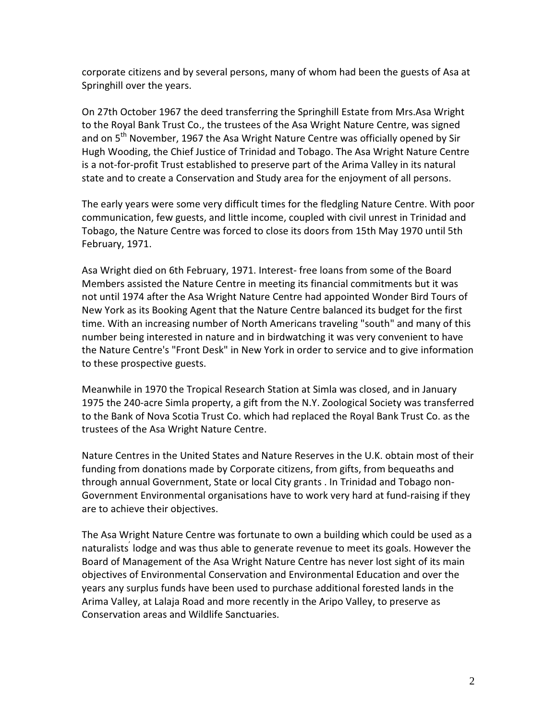corporate citizens and by several persons, many of whom had been the guests of Asa at Springhill over the years.

On 27th October 1967 the deed transferring the Springhill Estate from Mrs.Asa Wright to the Royal Bank Trust Co., the trustees of the Asa Wright Nature Centre, was signed and on 5<sup>th</sup> November, 1967 the Asa Wright Nature Centre was officially opened by Sir Hugh Wooding, the Chief Justice of Trinidad and Tobago. The Asa Wright Nature Centre is a not-for-profit Trust established to preserve part of the Arima Valley in its natural state and to create a Conservation and Study area for the enjoyment of all persons.

The early years were some very difficult times for the fledgling Nature Centre. With poor communication, few guests, and little income, coupled with civil unrest in Trinidad and Tobago, the Nature Centre was forced to close its doors from 15th May 1970 until 5th February, 1971.

Asa Wright died on 6th February, 1971. Interest- free loans from some of the Board Members assisted the Nature Centre in meeting its financial commitments but it was not until 1974 after the Asa Wright Nature Centre had appointed Wonder Bird Tours of New York as its Booking Agent that the Nature Centre balanced its budget for the first time. With an increasing number of North Americans traveling "south" and many of this number being interested in nature and in birdwatching it was very convenient to have the Nature Centre's "Front Desk" in New York in order to service and to give information to these prospective guests.

Meanwhile in 1970 the Tropical Research Station at Simla was closed, and in January 1975 the 240-acre Simla property, a gift from the N.Y. Zoological Society was transferred to the Bank of Nova Scotia Trust Co. which had replaced the Royal Bank Trust Co. as the trustees of the Asa Wright Nature Centre.

Nature Centres in the United States and Nature Reserves in the U.K. obtain most of their funding from donations made by Corporate citizens, from gifts, from bequeaths and through annual Government, State or local City grants . In Trinidad and Tobago non-Government Environmental organisations have to work very hard at fund-raising if they are to achieve their objectives.

The Asa Wright Nature Centre was fortunate to own a building which could be used as a naturalists lodge and was thus able to generate revenue to meet its goals. However the Board of Management of the Asa Wright Nature Centre has never lost sight of its main objectives of Environmental Conservation and Environmental Education and over the years any surplus funds have been used to purchase additional forested lands in the Arima Valley, at Lalaja Road and more recently in the Aripo Valley, to preserve as Conservation areas and Wildlife Sanctuaries.